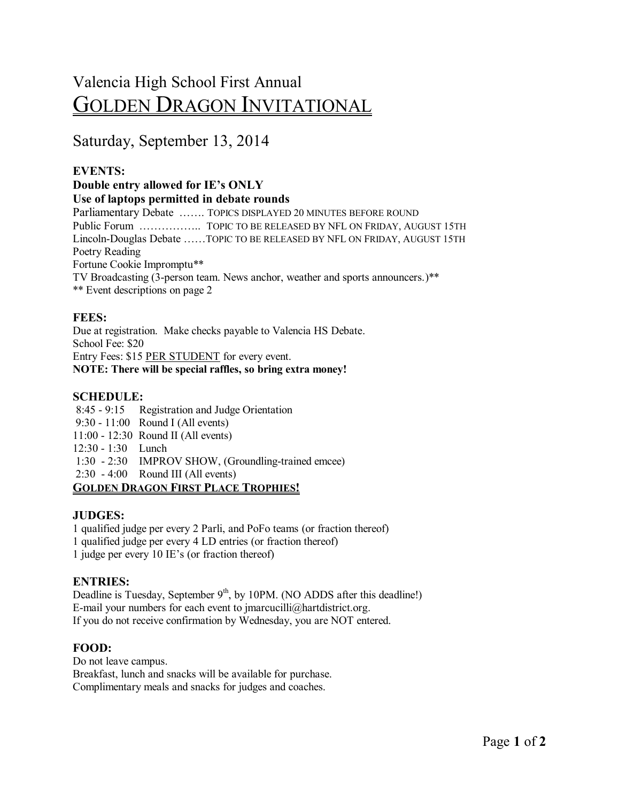# Valencia High School First Annual GOLDEN DRAGON INVITATIONAL

# Saturday, September 13, 2014

# **EVENTS:**

#### **Double entry allowed for IE's ONLY Use of laptops permitted in debate rounds** Parliamentary Debate ……. TOPICS DISPLAYED 20 MINUTES BEFORE ROUND Public Forum …………….. TOPIC TO BE RELEASED BY NFL ON FRIDAY, AUGUST 15TH Lincoln-Douglas Debate ……TOPIC TO BE RELEASED BY NFL ON FRIDAY, AUGUST 15TH Poetry Reading Fortune Cookie Impromptu\*\* TV Broadcasting (3-person team. News anchor, weather and sports announcers.)\*\* \*\* Event descriptions on page 2

# **FEES:**

Due at registration. Make checks payable to Valencia HS Debate. School Fee: \$20 Entry Fees: \$15 PER STUDENT for every event. **NOTE: There will be special raffles, so bring extra money!**

# **SCHEDULE:**

8:45 - 9:15 Registration and Judge Orientation 9:30 - 11:00 Round I (All events) 11:00 - 12:30 Round II (All events) 12:30 - 1:30 Lunch 1:30 - 2:30 IMPROV SHOW, (Groundling-trained emcee) 2:30 - 4:00 Round III (All events) **GOLDEN DRAGON FIRST PLACE TROPHIES!**

#### **JUDGES:**

1 qualified judge per every 2 Parli, and PoFo teams (or fraction thereof) 1 qualified judge per every 4 LD entries (or fraction thereof) 1 judge per every 10 IE's (or fraction thereof)

# **ENTRIES:**

Deadline is Tuesday, September  $9<sup>th</sup>$ , by 10PM. (NO ADDS after this deadline!) E-mail your numbers for each event to jmarcucilli@hartdistrict.org. If you do not receive confirmation by Wednesday, you are NOT entered.

# **FOOD:**

Do not leave campus. Breakfast, lunch and snacks will be available for purchase. Complimentary meals and snacks for judges and coaches.